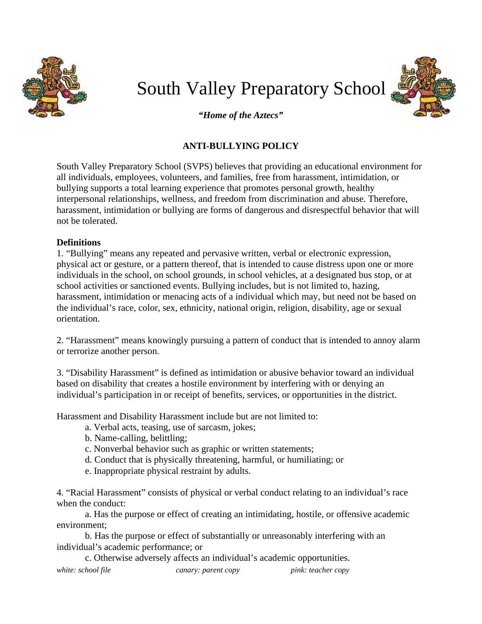

# South Valley Preparatory School *"Home of the Aztecs"*



### **ANTI-BULLYING POLICY**

South Valley Preparatory School (SVPS) believes that providing an educational environment for all individuals, employees, volunteers, and families, free from harassment, intimidation, or bullying supports a total learning experience that promotes personal growth, healthy interpersonal relationships, wellness, and freedom from discrimination and abuse. Therefore, harassment, intimidation or bullying are forms of dangerous and disrespectful behavior that will not be tolerated.

#### **Definitions**

1. "Bullying" means any repeated and pervasive written, verbal or electronic expression, physical act or gesture, or a pattern thereof, that is intended to cause distress upon one or more individuals in the school, on school grounds, in school vehicles, at a designated bus stop, or at school activities or sanctioned events. Bullying includes, but is not limited to, hazing, harassment, intimidation or menacing acts of a individual which may, but need not be based on the individual's race, color, sex, ethnicity, national origin, religion, disability, age or sexual orientation.

2. "Harassment" means knowingly pursuing a pattern of conduct that is intended to annoy alarm or terrorize another person.

3. "Disability Harassment" is defined as intimidation or abusive behavior toward an individual based on disability that creates a hostile environment by interfering with or denying an individual's participation in or receipt of benefits, services, or opportunities in the district.

Harassment and Disability Harassment include but are not limited to:

- a. Verbal acts, teasing, use of sarcasm, jokes;
- b. Name-calling, belittling;
- c. Nonverbal behavior such as graphic or written statements;
- d. Conduct that is physically threatening, harmful, or humiliating; or
- e. Inappropriate physical restraint by adults.

4. "Racial Harassment" consists of physical or verbal conduct relating to an individual's race when the conduct:

a. Has the purpose or effect of creating an intimidating, hostile, or offensive academic environment;

b. Has the purpose or effect of substantially or unreasonably interfering with an individual's academic performance; or

*white: school file canary: parent copy pink: teacher copy* c. Otherwise adversely affects an individual's academic opportunities.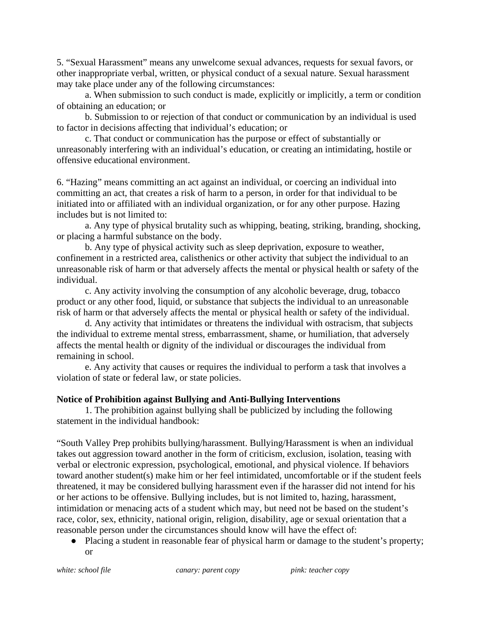5. "Sexual Harassment" means any unwelcome sexual advances, requests for sexual favors, or other inappropriate verbal, written, or physical conduct of a sexual nature. Sexual harassment may take place under any of the following circumstances:

a. When submission to such conduct is made, explicitly or implicitly, a term or condition of obtaining an education; or

b. Submission to or rejection of that conduct or communication by an individual is used to factor in decisions affecting that individual's education; or

c. That conduct or communication has the purpose or effect of substantially or unreasonably interfering with an individual's education, or creating an intimidating, hostile or offensive educational environment.

6. "Hazing" means committing an act against an individual, or coercing an individual into committing an act, that creates a risk of harm to a person, in order for that individual to be initiated into or affiliated with an individual organization, or for any other purpose. Hazing includes but is not limited to:

a. Any type of physical brutality such as whipping, beating, striking, branding, shocking, or placing a harmful substance on the body.

b. Any type of physical activity such as sleep deprivation, exposure to weather, confinement in a restricted area, calisthenics or other activity that subject the individual to an unreasonable risk of harm or that adversely affects the mental or physical health or safety of the individual.

c. Any activity involving the consumption of any alcoholic beverage, drug, tobacco product or any other food, liquid, or substance that subjects the individual to an unreasonable risk of harm or that adversely affects the mental or physical health or safety of the individual.

d. Any activity that intimidates or threatens the individual with ostracism, that subjects the individual to extreme mental stress, embarrassment, shame, or humiliation, that adversely affects the mental health or dignity of the individual or discourages the individual from remaining in school.

e. Any activity that causes or requires the individual to perform a task that involves a violation of state or federal law, or state policies.

#### **Notice of Prohibition against Bullying and Anti-Bullying Interventions**

1. The prohibition against bullying shall be publicized by including the following statement in the individual handbook:

"South Valley Prep prohibits bullying/harassment. Bullying/Harassment is when an individual takes out aggression toward another in the form of criticism, exclusion, isolation, teasing with verbal or electronic expression, psychological, emotional, and physical violence. If behaviors toward another student(s) make him or her feel intimidated, uncomfortable or if the student feels threatened, it may be considered bullying harassment even if the harasser did not intend for his or her actions to be offensive. Bullying includes, but is not limited to, hazing, harassment, intimidation or menacing acts of a student which may, but need not be based on the student's race, color, sex, ethnicity, national origin, religion, disability, age or sexual orientation that a reasonable person under the circumstances should know will have the effect of:

● Placing a student in reasonable fear of physical harm or damage to the student's property; or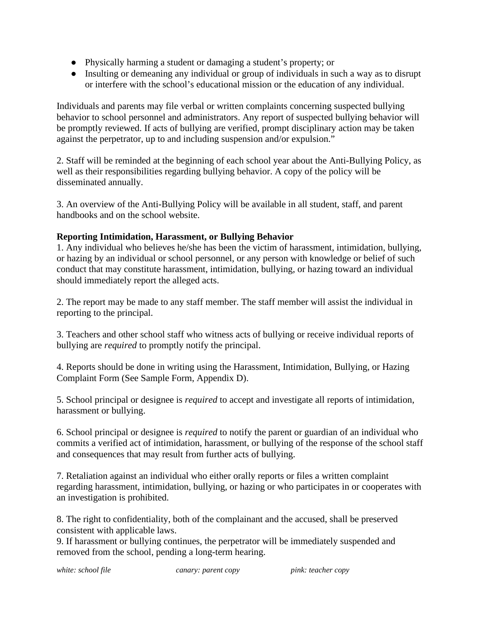- Physically harming a student or damaging a student's property; or
- Insulting or demeaning any individual or group of individuals in such a way as to disrupt or interfere with the school's educational mission or the education of any individual.

Individuals and parents may file verbal or written complaints concerning suspected bullying behavior to school personnel and administrators. Any report of suspected bullying behavior will be promptly reviewed. If acts of bullying are verified, prompt disciplinary action may be taken against the perpetrator, up to and including suspension and/or expulsion."

2. Staff will be reminded at the beginning of each school year about the Anti-Bullying Policy, as well as their responsibilities regarding bullying behavior. A copy of the policy will be disseminated annually.

3. An overview of the Anti-Bullying Policy will be available in all student, staff, and parent handbooks and on the school website.

#### **Reporting Intimidation, Harassment, or Bullying Behavior**

1. Any individual who believes he/she has been the victim of harassment, intimidation, bullying, or hazing by an individual or school personnel, or any person with knowledge or belief of such conduct that may constitute harassment, intimidation, bullying, or hazing toward an individual should immediately report the alleged acts.

2. The report may be made to any staff member. The staff member will assist the individual in reporting to the principal.

3. Teachers and other school staff who witness acts of bullying or receive individual reports of bullying are *required* to promptly notify the principal.

4. Reports should be done in writing using the Harassment, Intimidation, Bullying, or Hazing Complaint Form (See Sample Form, Appendix D).

5. School principal or designee is *required* to accept and investigate all reports of intimidation, harassment or bullying.

6. School principal or designee is *required* to notify the parent or guardian of an individual who commits a verified act of intimidation, harassment, or bullying of the response of the school staff and consequences that may result from further acts of bullying.

7. Retaliation against an individual who either orally reports or files a written complaint regarding harassment, intimidation, bullying, or hazing or who participates in or cooperates with an investigation is prohibited.

8. The right to confidentiality, both of the complainant and the accused, shall be preserved consistent with applicable laws.

9. If harassment or bullying continues, the perpetrator will be immediately suspended and removed from the school, pending a long-term hearing.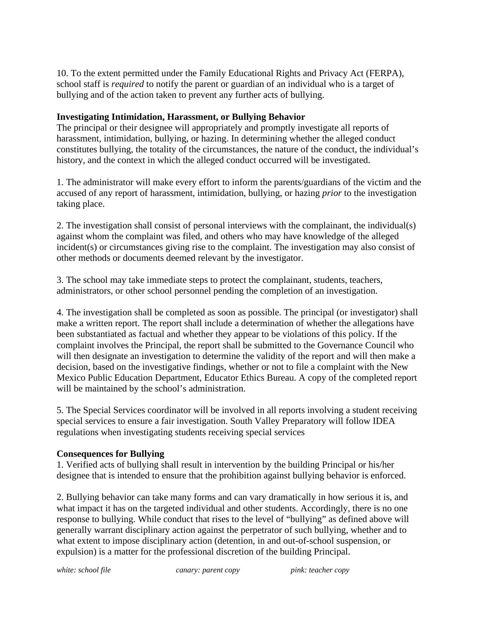10. To the extent permitted under the Family Educational Rights and Privacy Act (FERPA), school staff is *required* to notify the parent or guardian of an individual who is a target of bullying and of the action taken to prevent any further acts of bullying.

#### **Investigating Intimidation, Harassment, or Bullying Behavior**

The principal or their designee will appropriately and promptly investigate all reports of harassment, intimidation, bullying, or hazing. In determining whether the alleged conduct constitutes bullying, the totality of the circumstances, the nature of the conduct, the individual's history, and the context in which the alleged conduct occurred will be investigated.

1. The administrator will make every effort to inform the parents/guardians of the victim and the accused of any report of harassment, intimidation, bullying, or hazing *prior* to the investigation taking place.

2. The investigation shall consist of personal interviews with the complainant, the individual(s) against whom the complaint was filed, and others who may have knowledge of the alleged incident(s) or circumstances giving rise to the complaint. The investigation may also consist of other methods or documents deemed relevant by the investigator.

3. The school may take immediate steps to protect the complainant, students, teachers, administrators, or other school personnel pending the completion of an investigation.

4. The investigation shall be completed as soon as possible. The principal (or investigator) shall make a written report. The report shall include a determination of whether the allegations have been substantiated as factual and whether they appear to be violations of this policy. If the complaint involves the Principal, the report shall be submitted to the Governance Council who will then designate an investigation to determine the validity of the report and will then make a decision, based on the investigative findings, whether or not to file a complaint with the New Mexico Public Education Department, Educator Ethics Bureau. A copy of the completed report will be maintained by the school's administration.

5. The Special Services coordinator will be involved in all reports involving a student receiving special services to ensure a fair investigation. South Valley Preparatory will follow IDEA regulations when investigating students receiving special services

#### **Consequences for Bullying**

1. Verified acts of bullying shall result in intervention by the building Principal or his/her designee that is intended to ensure that the prohibition against bullying behavior is enforced.

2. Bullying behavior can take many forms and can vary dramatically in how serious it is, and what impact it has on the targeted individual and other students. Accordingly, there is no one response to bullying. While conduct that rises to the level of "bullying" as defined above will generally warrant disciplinary action against the perpetrator of such bullying, whether and to what extent to impose disciplinary action (detention, in and out-of-school suspension, or expulsion) is a matter for the professional discretion of the building Principal.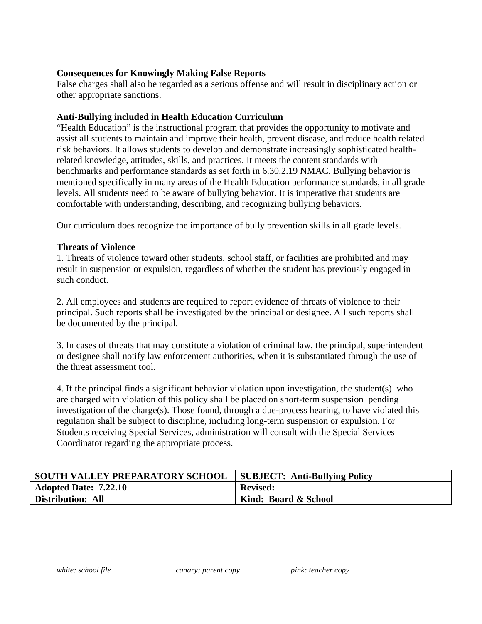#### **Consequences for Knowingly Making False Reports**

False charges shall also be regarded as a serious offense and will result in disciplinary action or other appropriate sanctions.

#### **Anti-Bullying included in Health Education Curriculum**

"Health Education" is the instructional program that provides the opportunity to motivate and assist all students to maintain and improve their health, prevent disease, and reduce health related risk behaviors. It allows students to develop and demonstrate increasingly sophisticated healthrelated knowledge, attitudes, skills, and practices. It meets the content standards with benchmarks and performance standards as set forth in 6.30.2.19 NMAC. Bullying behavior is mentioned specifically in many areas of the Health Education performance standards, in all grade levels. All students need to be aware of bullying behavior. It is imperative that students are comfortable with understanding, describing, and recognizing bullying behaviors.

Our curriculum does recognize the importance of bully prevention skills in all grade levels.

#### **Threats of Violence**

1. Threats of violence toward other students, school staff, or facilities are prohibited and may result in suspension or expulsion, regardless of whether the student has previously engaged in such conduct.

2. All employees and students are required to report evidence of threats of violence to their principal. Such reports shall be investigated by the principal or designee. All such reports shall be documented by the principal.

3. In cases of threats that may constitute a violation of criminal law, the principal, superintendent or designee shall notify law enforcement authorities, when it is substantiated through the use of the threat assessment tool.

4. If the principal finds a significant behavior violation upon investigation, the student(s) who are charged with violation of this policy shall be placed on short-term suspension pending investigation of the charge(s). Those found, through a due-process hearing, to have violated this regulation shall be subject to discipline, including long-term suspension or expulsion. For Students receiving Special Services, administration will consult with the Special Services Coordinator regarding the appropriate process.

| <b>SOUTH VALLEY PREPARATORY SCHOOL</b> | <b>SUBJECT: Anti-Bullying Policy</b> |
|----------------------------------------|--------------------------------------|
| <b>Adopted Date: 7.22.10</b>           | <b>Revised:</b>                      |
| Distribution: All                      | Kind: Board & School                 |